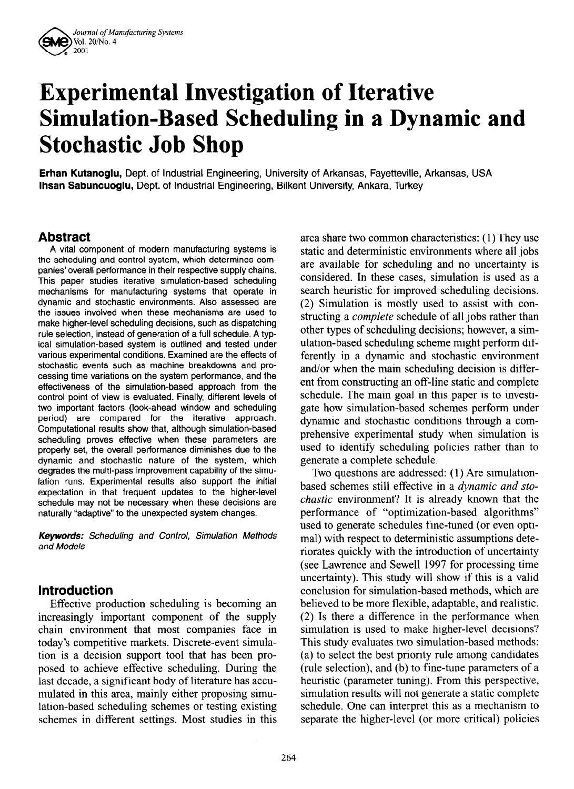## **Experimental Investigation of Iterative Simulation-Based Scheduling in a Dynamic and Stochastic Job Shop**

**Erhan Kutanoglu,** Dept. of Industrial Engineering, University of Arkansas, Fayetteville, Arkansas, USA **lhsan Sabuncuoglu,** Dept. of Industrial Engineering, Bilkent University, Ankara, Turkey

## **Abstract**

A vital component of modern manufacturing systems is the scheduling and control system, which determines companies' overall performance in their respective supply chains. This paper studies iterative simulation-based scheduling mechanisms for manufacturing systems that operate in dynamic and stochastic environments. Also assessed are the issues involved when these mechanisms are used to make higher-level scheduling decisions, such as dispatching rule selection, instead of generation of a full schedule. A typical simulation-based system is outlined and tested under various experimental conditions. Examined are the effects of stochastic events such as machine breakdowns and processing time variations on the system performance, and the effectiveness of the simulation-based approach from the control point of view is evaluated. Finally, different levels of two important factors (look-ahead window and scheduling period) are compared for the iterative approach. Computational results show that, although simulation-based scheduling proves effective when these parameters are properly set, the overall performance diminishes due to the dynamic and stochastic nature of the system, which degrades the multi-pass improvement capability of the simulation runs. Experimental results also support the initial expectation in that frequent updates to the higher-level schedule may not be necessary when these decisions are naturally "adaptive" to the unexpected system changes.

*Keywords: Scheduling and Control, Simulation Methods and Models* 

## **Introduction**

Effective production scheduling is becoming an increasingly important component of the supply chain environment that most companies face in today's competitive markets. Discrete-event simulation is a decision support tool that has been proposed to achieve effective scheduling. During the last decade, a significant body of literature has accumulated in this area, mainly either proposing simulation-based scheduling schemes or testing existing schemes in different settings. Most studies in this

area share two common characteristics: (1) They use static and deterministic environments where all jobs are available for scheduling and no uncertainty is considered. In these cases, simulation is used as a search heuristic for improved scheduling decisions. (2) Simulation is mostly used to assist with constructing a *complete* schedule of all jobs rather than other types of scheduling decisions; however, a simulation-based scheduling scheme might perform differently in a dynamic and stochastic environment and/or when the main scheduling decision is different from constructing an off-line static and complete schedule. The main goal in this paper is to investigate how simulation-based schemes perform under dynamic and stochastic conditions through a comprehensive experimental study when simulation is used to identify scheduling policies rather than to generate a complete schedule.

Two questions are addressed: (1) Are simulationbased schemes still effective in a *dynamic and stochastic* environment? It is already known that the performance of "optimization-based algorithms" used to generate schedules fine-tuned (or even optimal) with respect to deterministic assumptions deteriorates quickly with the introduction of uncertainty (see Lawrence and Sewell 1997 for processing time uncertainty). This study will show if this is a valid conclusion for simulation-based methods, which are believed to be more flexible, adaptable, and realistic. (2) Is there a difference in the performance when simulation is used to make higher-level decisions? This study evaluates two simulation-based methods: (a) to select the best priority rule among candidates (rule selection), and (b) to fine-tune parameters of a heuristic (parameter tuning). From this perspective, simulation results will not generate a static complete schedule. One can interpret this as a mechanism to separate the higher-level (or more critical) policies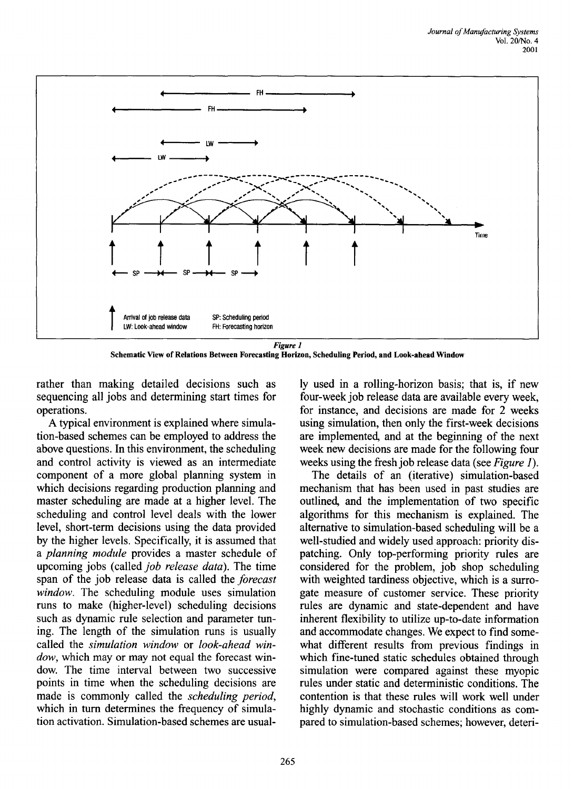

**Schematic View of Relations Between Forecasting Horizon, Scheduling Period, and Look-ahead Window** 

rather than making detailed decisions such as sequencing all jobs and determining start times for operations.

A typical environment is explained where simulation-based schemes can be employed to address the above questions. In this environment, the scheduling and control activity is viewed as an intermediate component of a more global planning system in which decisions regarding production planning and master scheduling are made at a higher level. The scheduling and control level deals with the lower level, short-term decisions using the data provided by the higher levels. Specifically, it is assumed that a *planning module* provides a master schedule of upcoming jobs (called job *release data).* The time span of the job release data is called the *forecast window.* The scheduling module uses simulation runs to make (higher-level) scheduling decisions such as dynamic rule selection and parameter tuning. The length of the simulation runs is usually called the *simulation window* or *look-ahead window,* which may or may not equal the forecast window. The time interval between two successive points in time when the scheduling decisions are made is commonly called the *scheduling period*, which in turn determines the frequency of simulation activation. Simulation-based schemes are usually used in a rolling-horizon basis; that is, if new four-week job release data are available every week, for instance, and decisions are made for 2 weeks using simulation, then only the first-week decisions are implemented, and at the beginning of the next week new decisions are made for the following four weeks using the fresh job release data (see *Figure I).* 

The details of an (iterative) simulation-based mechanism that has been used in past studies are outlined, and the implementation of two specific algorithms for this mechanism is explained. The alternative to simulation-based scheduling will be a well-studied and widely used approach: priority dispatching. Only top-performing priority rules are considered for the problem, job shop scheduling with weighted tardiness objective, which is a surrogate measure of customer service. These priority rules are dynamic and state-dependent and have inherent flexibility to utilize up-to-date information and accommodate changes. We expect to find somewhat different results from previous findings in which fine-tuned static schedules obtained through simulation were compared against these myopic rules under static and deterministic conditions. The contention is that these rules will work well under highly dynamic and stochastic conditions as compared to simulation-based schemes; however, deteri-